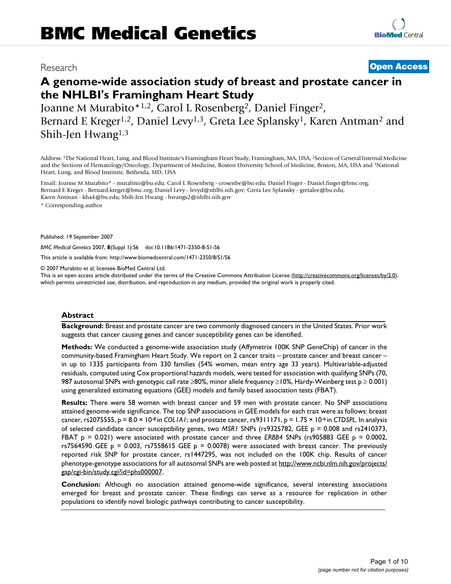## Research **[Open Access](http://www.biomedcentral.com/info/about/charter/)**

# **A genome-wide association study of breast and prostate cancer in the NHLBI's Framingham Heart Study**

Joanne M Murabito\*1,2, Carol L Rosenberg2, Daniel Finger2, Bernard E Kreger<sup>1,2</sup>, Daniel Levy<sup>1,3</sup>, Greta Lee Splansky<sup>1</sup>, Karen Antman<sup>2</sup> and Shih-Jen Hwang<sup>1,3</sup>

Address: 1The National Heart, Lung, and Blood Institute's Framingham Heart Study, Framingham, MA, USA, 2Section of General Internal Medicine and the Sections of Hematology/Oncology, Department of Medicine, Boston University School of Medicine, Boston, MA, USA and 3National Heart, Lung, and Blood Institute, Bethesda, MD, USA

Email: Joanne M Murabito\* - murabito@bu.edu; Carol L Rosenberg - crosenbe@bu.edu; Daniel Finger - Daniel.finger@bmc.org; Bernard E Kreger - Bernard.kreger@bmc.org; Daniel Levy - levyd@nhlbi.nih.gov; Greta Lee Splansky - gretalee@bu.edu; Karen Antman - kha4@bu.edu; Shih-Jen Hwang - hwangs2@nhlbi.nih.gov

\* Corresponding author

Published: 19 September 2007

*BMC Medical Genetics* 2007, **8**(Suppl 1):S6 doi:10.1186/1471-2350-8-S1-S6

[This article is available from: http://www.biomedcentral.com/1471-2350/8/S1/S6](http://www.biomedcentral.com/1471-2350/8/S1/S6)

© 2007 Murabito et al; licensee BioMed Central Ltd.

This is an open access article distributed under the terms of the Creative Commons Attribution License [\(http://creativecommons.org/licenses/by/2.0\)](http://creativecommons.org/licenses/by/2.0), which permits unrestricted use, distribution, and reproduction in any medium, provided the original work is properly cited.

#### **Abstract**

**Background:** Breast and prostate cancer are two commonly diagnosed cancers in the United States. Prior work suggests that cancer causing genes and cancer susceptibility genes can be identified.

**Methods:** We conducted a genome-wide association study (Affymetrix 100K SNP GeneChip) of cancer in the community-based Framingham Heart Study. We report on 2 cancer traits – prostate cancer and breast cancer – in up to 1335 participants from 330 families (54% women, mean entry age 33 years). Multivariable-adjusted residuals, computed using Cox proportional hazards models, were tested for association with qualifying SNPs (70, 987 autosomal SNPs with genotypic call rate ≥80%, minor allele frequency ≥10%, Hardy-Weinberg test p ≥ 0.001) using generalized estimating equations (GEE) models and family based association tests (FBAT).

**Results:** There were 58 women with breast cancer and 59 men with prostate cancer. No SNP associations attained genome-wide significance. The top SNP associations in GEE models for each trait were as follows: breast cancer, rs2075555,  $p = 8.0 \times 10^{-8}$  in *COLIA1*; and prostate cancer, rs9311171,  $p = 1.75 \times 10^{-6}$  in *CTDSPL*. In analysis of selected candidate cancer susceptibility genes, two *MSR1* SNPs (rs9325782, GEE p = 0.008 and rs2410373, FBAT p = 0.021) were associated with prostate cancer and three *ERBB4* SNPs (rs905883 GEE p = 0.0002, rs7564590 GEE  $p = 0.003$ , rs7558615 GEE  $p = 0.0078$ ) were associated with breast cancer. The previously reported risk SNP for prostate cancer, rs1447295, was not included on the 100K chip. Results of cancer phenotype-genotype associations for all autosomal SNPs are web posted at [http://www.ncbi.nlm.nih.gov/projects/](http://www.ncbi.nlm.nih.gov/projects/gap/cgi-bin/study.cgi?id=phs000007) [gap/cgi-bin/study.cgi?id=phs000007](http://www.ncbi.nlm.nih.gov/projects/gap/cgi-bin/study.cgi?id=phs000007).

**Conclusion:** Although no association attained genome-wide significance, several interesting associations emerged for breast and prostate cancer. These findings can serve as a resource for replication in other populations to identify novel biologic pathways contributing to cancer susceptibility.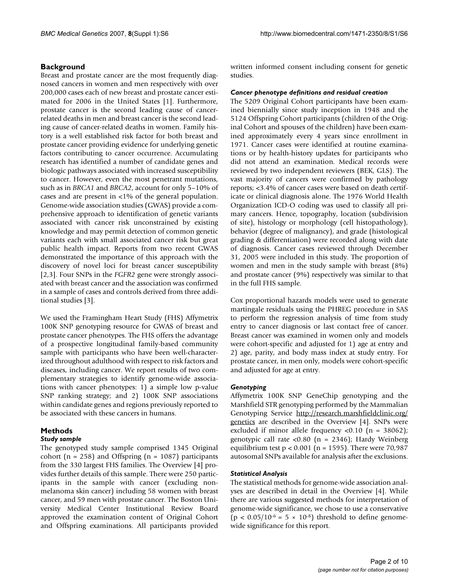#### **Background**

Breast and prostate cancer are the most frequently diagnosed cancers in women and men respectively with over 200,000 cases each of new breast and prostate cancer estimated for 2006 in the United States [1]. Furthermore, prostate cancer is the second leading cause of cancerrelated deaths in men and breast cancer is the second leading cause of cancer-related deaths in women. Family history is a well established risk factor for both breast and prostate cancer providing evidence for underlying genetic factors contributing to cancer occurrence. Accumulating research has identified a number of candidate genes and biologic pathways associated with increased susceptibility to cancer. However, even the most penetrant mutations, such as in *BRCA1* and *BRCA2*, account for only 5–10% of cases and are present in <1% of the general population. Genome-wide association studies (GWAS) provide a comprehensive approach to identification of genetic variants associated with cancer risk unconstrained by existing knowledge and may permit detection of common genetic variants each with small associated cancer risk but great public health impact. Reports from two recent GWAS demonstrated the importance of this approach with the discovery of novel loci for breast cancer susceptibility [2,3]. Four SNPs in the *FGFR2* gene were strongly associated with breast cancer and the association was confirmed in a sample of cases and controls derived from three additional studies [3].

We used the Framingham Heart Study (FHS) Affymetrix 100K SNP genotyping resource for GWAS of breast and prostate cancer phenotypes. The FHS offers the advantage of a prospective longitudinal family-based community sample with participants who have been well-characterized throughout adulthood with respect to risk factors and diseases, including cancer. We report results of two complementary strategies to identify genome-wide associations with cancer phenotypes: 1) a simple low p-value SNP ranking strategy; and 2) 100K SNP associations within candidate genes and regions previously reported to be associated with these cancers in humans.

#### **Methods**

#### *Study sample*

The genotyped study sample comprised 1345 Original cohort ( $n = 258$ ) and Offspring ( $n = 1087$ ) participants from the 330 largest FHS families. The Overview [4] provides further details of this sample. There were 250 participants in the sample with cancer (excluding nonmelanoma skin cancer) including 58 women with breast cancer, and 59 men with prostate cancer. The Boston University Medical Center Institutional Review Board approved the examination content of Original Cohort and Offspring examinations. All participants provided written informed consent including consent for genetic studies.

#### *Cancer phenotype definitions and residual creation*

The 5209 Original Cohort participants have been examined biennially since study inception in 1948 and the 5124 Offspring Cohort participants (children of the Original Cohort and spouses of the children) have been examined approximately every 4 years since enrollment in 1971. Cancer cases were identified at routine examinations or by health-history updates for participants who did not attend an examination. Medical records were reviewed by two independent reviewers (BEK, GLS). The vast majority of cancers were confirmed by pathology reports; <3.4% of cancer cases were based on death certificate or clinical diagnosis alone. The 1976 World Health Organization ICD-O coding was used to classify all primary cancers. Hence, topography, location (subdivision of site), histology or morphology (cell histopathology), behavior (degree of malignancy), and grade (histological grading & differentiation) were recorded along with date of diagnosis. Cancer cases reviewed through December 31, 2005 were included in this study. The proportion of women and men in the study sample with breast (8%) and prostate cancer (9%) respectively was similar to that in the full FHS sample.

Cox proportional hazards models were used to generate martingale residuals using the PHREG procedure in SAS to perform the regression analysis of time from study entry to cancer diagnosis or last contact free of cancer. Breast cancer was examined in women only and models were cohort-specific and adjusted for 1) age at entry and 2) age, parity, and body mass index at study entry. For prostate cancer, in men only, models were cohort-specific and adjusted for age at entry.

#### *Genotyping*

Affymetrix 100K SNP GeneChip genotyping and the Marshfield STR genotyping performed by the Mammalian Genotyping Service [http://research.marshfieldclinic.org/](http://research.marshfieldclinic.org/genetics) [genetics](http://research.marshfieldclinic.org/genetics) are described in the Overview [4]. SNPs were excluded if minor allele frequency <0.10 (n = 38062); genotypic call rate <0.80 (n = 2346); Hardy Weinberg equilibrium test  $p < 0.001$  (n = 1595). There were 70,987 autosomal SNPs available for analysis after the exclusions.

#### *Statistical Analysis*

The statistical methods for genome-wide association analyses are described in detail in the Overview [4]. While there are various suggested methods for interpretation of genome-wide significance, we chose to use a conservative  $(p < 0.05/10^{-6} = 5 \times 10^{-8})$  threshold to define genomewide significance for this report.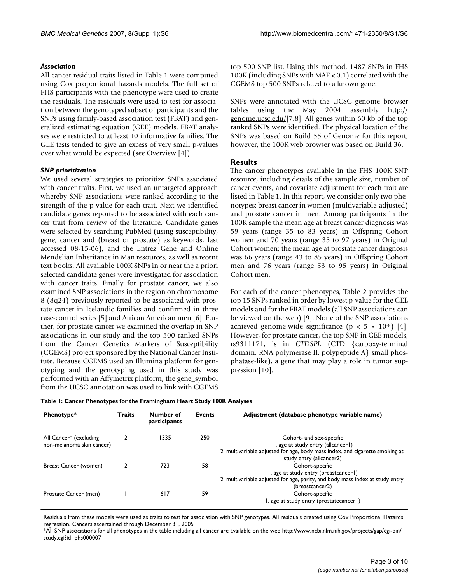#### *Association*

All cancer residual traits listed in Table 1 were computed using Cox proportional hazards models. The full set of FHS participants with the phenotype were used to create the residuals. The residuals were used to test for association between the genotyped subset of participants and the SNPs using family-based association test (FBAT) and generalized estimating equation (GEE) models. FBAT analyses were restricted to at least 10 informative families. The GEE tests tended to give an excess of very small p-values over what would be expected (see Overview [4]).

#### *SNP prioritization*

We used several strategies to prioritize SNPs associated with cancer traits. First, we used an untargeted approach whereby SNP associations were ranked according to the strength of the p-value for each trait. Next we identified candidate genes reported to be associated with each cancer trait from review of the literature. Candidate genes were selected by searching PubMed (using susceptibility, gene, cancer and (breast or prostate) as keywords, last accessed 08-15-06), and the Entrez Gene and Online Mendelian Inheritance in Man resources, as well as recent text books. All available 100K SNPs in or near the a priori selected candidate genes were investigated for association with cancer traits. Finally for prostate cancer, we also examined SNP associations in the region on chromosome 8 (8q24) previously reported to be associated with prostate cancer in Icelandic families and confirmed in three case-control series [5] and African American men [6]. Further, for prostate cancer we examined the overlap in SNP associations in our study and the top 500 ranked SNPs from the Cancer Genetics Markers of Susceptibility (CGEMS) project sponsored by the National Cancer Institute. Because CGEMS used an Illumina platform for genotyping and the genotyping used in this study was performed with an Affymetrix platform, the gene\_symbol from the UCSC annotation was used to link with CGEMS

top 500 SNP list. Using this method, 1487 SNPs in FHS 100K (including SNPs with MAF < 0.1) correlated with the CGEMS top 500 SNPs related to a known gene.

SNPs were annotated with the UCSC genome browser tables using the May 2004 assembly [http://](http://genome.ucsc.edu/) [genome.ucsc.edu/\[](http://genome.ucsc.edu/)7,8]. All genes within 60 kb of the top ranked SNPs were identified. The physical location of the SNPs was based on Build 35 of Genome for this report; however, the 100K web browser was based on Build 36.

#### **Results**

The cancer phenotypes available in the FHS 100K SNP resource, including details of the sample size, number of cancer events, and covariate adjustment for each trait are listed in Table 1. In this report, we consider only two phenotypes: breast cancer in women (multivariable-adjusted) and prostate cancer in men. Among participants in the 100K sample the mean age at breast cancer diagnosis was 59 years (range 35 to 83 years) in Offspring Cohort women and 70 years (range 35 to 97 years) in Original Cohort women; the mean age at prostate cancer diagnosis was 66 years (range 43 to 85 years) in Offspring Cohort men and 76 years (range 53 to 95 years) in Original Cohort men.

For each of the cancer phenotypes, Table 2 provides the top 15 SNPs ranked in order by lowest p-value for the GEE models and for the FBAT models (all SNP associations can be viewed on the web) [9]. None of the SNP associations achieved genome-wide significance ( $p < 5 \times 10^{-8}$ ) [4]. However, for prostate cancer, the top SNP in GEE models, rs9311171, is in *CTDSPL* (CTD {carboxy-terminal domain, RNA polymerase II, polypeptide A} small phosphatase-like), a gene that may play a role in tumor suppression [10].

|  |  | Table 1: Cancer Phenotypes for the Framingham Heart Study 100K Analyses |  |  |
|--|--|-------------------------------------------------------------------------|--|--|
|--|--|-------------------------------------------------------------------------|--|--|

| Phenotype*                                          | <b>Traits</b> | Number of<br>participants | <b>Events</b> | Adjustment (database phenotype variable name)                                                            |
|-----------------------------------------------------|---------------|---------------------------|---------------|----------------------------------------------------------------------------------------------------------|
| All Cancer* (excluding<br>non-melanoma skin cancer) |               | 1335                      | 250           | Cohort- and sex-specific<br>I. age at study entry (allcancer I)                                          |
|                                                     |               |                           |               | 2. multivariable adjusted for age, body mass index, and cigarette smoking at<br>study entry (allcancer2) |
| Breast Cancer (women)                               |               | 723                       | 58            | Cohort-specific                                                                                          |
|                                                     |               |                           |               | I. age at study entry (breastcancer I)                                                                   |
|                                                     |               |                           |               | 2. multivariable adjusted for age, parity, and body mass index at study entry<br>(breastcancer2)         |
| Prostate Cancer (men)                               |               | 617                       | 59            | Cohort-specific                                                                                          |
|                                                     |               |                           |               | I. age at study entry (prostatecancer I)                                                                 |

Residuals from these models were used as traits to test for association with SNP genotypes. All residuals created using Cox Proportional Hazards regression. Cancers ascertained through December 31, 2005

\*All SNP associations for all phenotypes in the table including all cancer are available on the web [http://www.ncbi.nlm.nih.gov/projects/gap/cgi-bin/](http://www.ncbi.nlm.nih.gov/projects/gap/cgi-bin/study.cgi?id=phs000007) [study.cgi?id=phs000007](http://www.ncbi.nlm.nih.gov/projects/gap/cgi-bin/study.cgi?id=phs000007)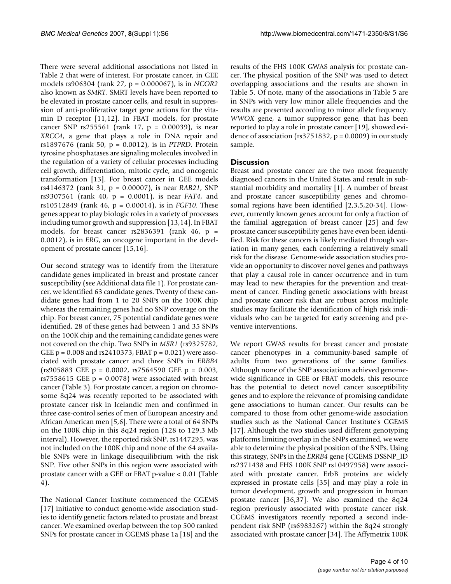There were several additional associations not listed in Table 2 that were of interest. For prostate cancer, in GEE models rs906304 (rank 27, p = 0.000067), is in *NCOR2* also known as *SMRT*. SMRT levels have been reported to be elevated in prostate cancer cells, and result in suppression of anti-proliferative target gene actions for the vitamin D receptor [11,12]. In FBAT models, for prostate cancer SNP rs255561 (rank 17,  $p = 0.00039$ ), is near *XRCC4*, a gene that plays a role in DNA repair and rs1897676 (rank 50, p = 0.0012), is in *PTPRD*. Protein tyrosine phosphatases are signaling molecules involved in the regulation of a variety of cellular processes including cell growth, differentiation, mitotic cycle, and oncogenic transformation [13]. For breast cancer in GEE models rs4146372 (rank 31, p = 0.00007), is near *RAB21*, SNP rs9307561 (rank 40, p = 0.0001), is near *FAT4*, and rs10512849 (rank 46, p = 0.00014), is in *FGF10*. These genes appear to play biologic roles in a variety of processes including tumor growth and suppression [13,14]. In FBAT models, for breast cancer  $rs2836391$  (rank 46,  $p =$ 0.0012), is in *ERG*, an oncogene important in the development of prostate cancer [15,16].

Our second strategy was to identify from the literature candidate genes implicated in breast and prostate cancer susceptibility (see Additional data file 1). For prostate cancer, we identified 63 candidate genes. Twenty of these candidate genes had from 1 to 20 SNPs on the 100K chip whereas the remaining genes had no SNP coverage on the chip. For breast cancer, 75 potential candidate genes were identified, 28 of these genes had between 1 and 35 SNPs on the 100K chip and the remaining candidate genes were not covered on the chip. Two SNPs in *MSR1* (rs9325782, GEE  $p = 0.008$  and rs2410373, FBAT  $p = 0.021$ ) were associated with prostate cancer and three SNPs in *ERBB4*  $(rs905883$  GEE  $p = 0.0002$ ,  $rs7564590$  GEE  $p = 0.003$ , rs7558615 GEE  $p = 0.0078$ ) were associated with breast cancer (Table 3). For prostate cancer, a region on chromosome 8q24 was recently reported to be associated with prostate cancer risk in Icelandic men and confirmed in three case-control series of men of European ancestry and African American men [5,6]. There were a total of 64 SNPs on the 100K chip in this 8q24 region (128 to 129.3 Mb interval). However, the reported risk SNP, rs1447295, was not included on the 100K chip and none of the 64 available SNPs were in linkage disequilibrium with the risk SNP. Five other SNPs in this region were associated with prostate cancer with a GEE or FBAT p-value < 0.01 (Table 4).

The National Cancer Institute commenced the CGEMS [17] initiative to conduct genome-wide association studies to identify genetic factors related to prostate and breast cancer. We examined overlap between the top 500 ranked SNPs for prostate cancer in CGEMS phase 1a [18] and the results of the FHS 100K GWAS analysis for prostate cancer. The physical position of the SNP was used to detect overlapping associations and the results are shown in Table 5. Of note, many of the associations in Table 5 are in SNPs with very low minor allele frequencies and the results are presented according to minor allele frequency. *WWOX* gene, a tumor suppressor gene, that has been reported to play a role in prostate cancer [19], showed evidence of association ( $rs3751832$ ,  $p = 0.0009$ ) in our study sample.

### **Discussion**

Breast and prostate cancer are the two most frequently diagnosed cancers in the United States and result in substantial morbidity and mortality [1]. A number of breast and prostate cancer susceptibility genes and chromosomal regions have been identified [2,3,5,20-34]. However, currently known genes account for only a fraction of the familial aggregation of breast cancer [25] and few prostate cancer susceptibility genes have even been identified. Risk for these cancers is likely mediated through variation in many genes, each conferring a relatively small risk for the disease. Genome-wide association studies provide an opportunity to discover novel genes and pathways that play a causal role in cancer occurrence and in turn may lead to new therapies for the prevention and treatment of cancer. Finding genetic associations with breast and prostate cancer risk that are robust across multiple studies may facilitate the identification of high risk individuals who can be targeted for early screening and preventive interventions.

We report GWAS results for breast cancer and prostate cancer phenotypes in a community-based sample of adults from two generations of the same families. Although none of the SNP associations achieved genomewide significance in GEE or FBAT models, this resource has the potential to detect novel cancer susceptibility genes and to explore the relevance of promising candidate gene associations to human cancer. Our results can be compared to those from other genome-wide association studies such as the National Cancer Institute's CGEMS [17]. Although the two studies used different genotyping platforms limiting overlap in the SNPs examined, we were able to determine the physical position of the SNPs. Using this strategy, SNPs in the *ERRB4* gene (CGEMS DSSNP\_ID rs2371438 and FHS 100K SNP rs10497958) were associated with prostate cancer. ErbB proteins are widely expressed in prostate cells [35] and may play a role in tumor development, growth and progression in human prostate cancer [36,37]. We also examined the 8q24 region previously associated with prostate cancer risk. CGEMS investigators recently reported a second independent risk SNP (rs6983267) within the 8q24 strongly associated with prostate cancer [34]. The Affymetrix 100K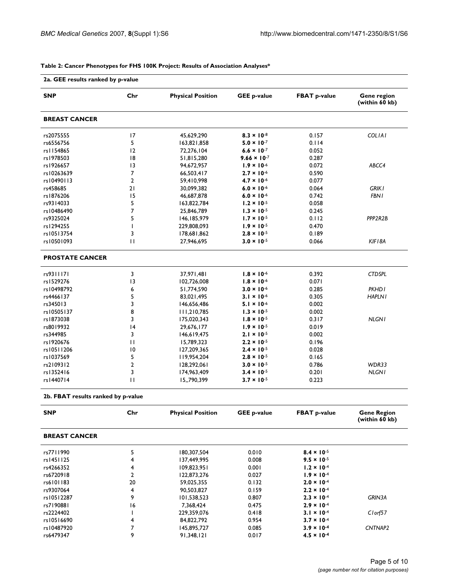| Chr<br><b>Physical Position</b><br><b>GEE p-value</b><br><b>FBAT p-value</b><br><b>SNP</b><br><b>BREAST CANCER</b><br>$8.3 \times 10^{-8}$<br>rs2075555<br>17<br>45,629,290<br>0.157<br>5<br>$5.0 \times 10^{-7}$<br>0.114<br>rs6556756<br>163,821,858 | <b>Gene region</b><br>(within 60 kb)<br><b>COLIAI</b><br>ABCC4<br><b>GRIK I</b> |
|--------------------------------------------------------------------------------------------------------------------------------------------------------------------------------------------------------------------------------------------------------|---------------------------------------------------------------------------------|
|                                                                                                                                                                                                                                                        |                                                                                 |
|                                                                                                                                                                                                                                                        |                                                                                 |
|                                                                                                                                                                                                                                                        |                                                                                 |
|                                                                                                                                                                                                                                                        |                                                                                 |
| rs   154865<br>12<br>$6.6 \times 10^{-7}$<br>0.052<br>72,276,104                                                                                                                                                                                       |                                                                                 |
| 0.287<br>rs1978503<br>18<br>51,815,280<br>$9.66 \times 10^{-7}$                                                                                                                                                                                        |                                                                                 |
| rs1926657<br>$\overline{13}$<br>94,672,957<br>$1.9 \times 10^{-6}$<br>0.072                                                                                                                                                                            |                                                                                 |
| 7<br>0.590<br>rs10263639<br>66,503,417<br>$2.7 \times 10^{-6}$                                                                                                                                                                                         |                                                                                 |
| $\overline{2}$<br>0.077<br>rs10490113<br>59,410,998<br>$4.7 \times 10^{-6}$                                                                                                                                                                            |                                                                                 |
| 21<br>0.064<br>rs458685<br>30,099,382<br>$6.0 \times 10^{-6}$                                                                                                                                                                                          |                                                                                 |
| rs1876206<br>15<br>46,687,878<br>0.742<br>$6.0 \times 10^{-6}$                                                                                                                                                                                         | <b>FBN I</b>                                                                    |
| 5<br>rs9314033<br>$1.2 \times 10^{-5}$<br>0.058<br>163,822,784                                                                                                                                                                                         |                                                                                 |
| 7<br>$1.3 \times 10^{-5}$<br>0.245<br>rs10486490<br>25,846,789                                                                                                                                                                                         |                                                                                 |
| 5<br>rs9325024<br>$1.7 \times 10^{-5}$<br>0.112<br>146, 185, 979                                                                                                                                                                                       | PPP2R2B                                                                         |
| 0.470<br>rs1294255<br>$\mathbf{I}$<br>229,808,093<br>$1.9 \times 10^{-5}$                                                                                                                                                                              |                                                                                 |
| 3<br>0.189<br>rs10513754<br>178,681,862<br>$2.8 \times 10^{-5}$                                                                                                                                                                                        |                                                                                 |
| rs10501093<br>$\mathbf{H}$<br>0.066<br>27,946,695<br>$3.0 \times 10^{-5}$                                                                                                                                                                              | KIF18A                                                                          |
| <b>PROSTATE CANCER</b>                                                                                                                                                                                                                                 |                                                                                 |
| 3<br>37,971,481<br>$1.8 \times 10^{-6}$<br>0.392<br>rs9311171                                                                                                                                                                                          | <b>CTDSPL</b>                                                                   |
| $\overline{13}$<br>0.071<br>rs1529276<br>102,726,008<br>$1.8 \times 10^{-6}$                                                                                                                                                                           |                                                                                 |
| rs10498792<br>6<br>0.285<br>$3.0 \times 10^{-6}$                                                                                                                                                                                                       | <b>PKHD1</b>                                                                    |
| 51,774,590                                                                                                                                                                                                                                             |                                                                                 |
| 5<br>83,021,495<br>$3.1 \times 10^{-6}$<br>0.305<br>rs4466137                                                                                                                                                                                          | <b>HAPLN1</b>                                                                   |
| 3<br>0.002<br>rs345013<br>146,656,486<br>$5.1 \times 10^{-6}$                                                                                                                                                                                          |                                                                                 |
| 8<br>0.002<br>rs10505137<br>111,210,785<br>$1.3 \times 10^{-5}$                                                                                                                                                                                        |                                                                                 |
| 3<br>rs1873038<br>175,020,343<br>$1.8 \times 10^{-5}$<br>0.317                                                                                                                                                                                         | <b>NLGN1</b>                                                                    |
| 4<br>0.019<br>rs8019932<br>29,676,177<br>$1.9 \times 10^{-5}$                                                                                                                                                                                          |                                                                                 |
| 3<br>0.002<br>rs344985<br>146,619,475<br>2.1 $\times$ 10 <sup>-5</sup>                                                                                                                                                                                 |                                                                                 |
| $\mathbf{H}$<br>rs1920676<br>15,789,323<br>$2.2 \times 10^{-5}$<br>0.196                                                                                                                                                                               |                                                                                 |
| 10<br>0.028<br>rs10511206<br>$2.4 \times 10^{-5}$<br>127,209,365                                                                                                                                                                                       |                                                                                 |
| rs1037569<br>5<br>0.165<br>119,954,204<br>$2.8 \times 10^{-5}$                                                                                                                                                                                         |                                                                                 |
| $\overline{2}$<br>rs2109312<br>$3.0 \times 10^{-5}$<br>0.786<br>128,292,061                                                                                                                                                                            | WDR33                                                                           |
| 3<br>rs1352416<br>174,963,409<br>$3.4 \times 10^{-5}$<br>0.201<br>$\mathbf{H}$<br>rs1440714<br>15,,790,399<br>0.223<br>$3.7 \times 10^{-5}$                                                                                                            | <b>NLGN1</b>                                                                    |
| 2b. FBAT results ranked by p-value                                                                                                                                                                                                                     |                                                                                 |
|                                                                                                                                                                                                                                                        |                                                                                 |
| $_{\rm Chr}$<br><b>SNP</b><br><b>Physical Position</b><br><b>GEE p-value</b><br><b>FBAT p-value</b>                                                                                                                                                    | <b>Gene Region</b><br>(within 60 kb)                                            |
| <b>BREAST CANCER</b>                                                                                                                                                                                                                                   |                                                                                 |
| 5<br>0.010<br>rs7711990<br>180,307,504<br>$8.4 \times 10^{-5}$                                                                                                                                                                                         |                                                                                 |
| rs1451125<br>137,449,995<br>0.008<br>$9.5 \times 10^{-5}$<br>4                                                                                                                                                                                         |                                                                                 |
| rs4266352<br>4<br>109,823,951<br>0.001<br>$1.2 \times 10^{-4}$                                                                                                                                                                                         |                                                                                 |

rs6720918 122,873,276 0.027 1.9 × 10<sup>-4</sup><br>rs6101183 20 59,025,355 0.132 2.0 × 10<sup>-4</sup> rs6101183 20 59,025,355 0.132 **2.0 × 10**-4

rs10516690 4 84,822,792 0.954 **3.7 × 10**-4

rs6479347 9 91,348,121 0.017 **4.5 × 10-4**

rs10512287 9 101,538,523 0.807 **2.3 × 10**-4 *GRIN3A* 20<br>
1 1 229,359,076<br>
1 229,359,076<br>
2.9 × 10<sup>-4</sup><br>
2.9 × 10<sup>-4</sup><br>
2.9 × 10<sup>-4</sup><br>
2.9 × 10<sup>-4</sup><br>
2.9 × 10<sup>-4</sup><br>
2.9 × 10<sup>-4</sup><br>
2.9 × 10<sup>-4</sup><br>
2.9 × 10<sup>-4</sup><br>
2.9 × 10<sup>-4</sup><br>
2.9 × 10<sup>-4</sup><br>
2.9 × 10<sup>-4</sup>

rs2224402 1 229,359,076 0.418 **3.1 × 10**-4 *C1orf57*

rs10487920 7 145,895,727 0.085 **3.9 × 10-4** *CNTNAP2*

rs9307064 4 90,503,827 0.159 **2.2 × 10**-4

**Table 2: Cancer Phenotypes for FHS 100K Project: Results of Association Analyses\***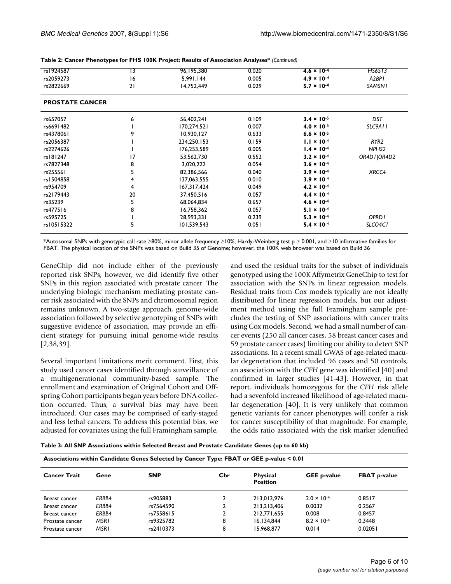| rs1924587              | 13 | 96, 195, 380 | 0.020 | $4.6 \times 10^{-4}$          | <b>HS6ST3</b>     |
|------------------------|----|--------------|-------|-------------------------------|-------------------|
| rs2059273              | 16 | 5,991,144    | 0.005 | $4.9 \times 10^{-4}$          | A2BPI             |
| rs2822669              | 21 | 14,752,449   | 0.029 | $5.7 \times 10^{-4}$          | <b>SAMSNI</b>     |
| <b>PROSTATE CANCER</b> |    |              |       |                               |                   |
| rs657057               | 6  | 56,402,241   | 0.109 | $3.4 \times 10^{-5}$          | <b>DST</b>        |
| rs6691482              |    | 170,274,521  | 0.007 | $4.0 \times 10^{-5}$          | SLC9A11           |
| rs4378061              | 9  | 10,930,127   | 0.633 | 6.6 $\times$ 10 <sup>-5</sup> |                   |
| rs2056387              |    | 234,250,153  | 0.159 | $1.1 \times 10^{-4}$          | RYR <sub>2</sub>  |
| rs2274626              |    | 176,253,589  | 0.005 | $1.4 \times 10^{-4}$          | NPHS <sub>2</sub> |
| rs181247               | 17 | 53,562,730   | 0.552 | $3.2 \times 10^{-4}$          | OR4D1 OR4D2       |
| rs7827348              | 8  | 3,020,222    | 0.054 | $3.6 \times 10^{-4}$          |                   |
| rs255561               | 5  | 82,386,566   | 0.040 | $3.9 \times 10^{-4}$          | XRCC4             |
| rs1504858              | 4  | 137,063,555  | 0.010 | $3.9 \times 10^{-4}$          |                   |
| rs954709               | 4  | 167,317,424  | 0.049 | $4.2 \times 10^{-4}$          |                   |
| rs2179443              | 20 | 37,450,516   | 0.057 | $4.4 \times 10^{-4}$          |                   |
| rs35239                | 5  | 68,064,834   | 0.657 | $4.6 \times 10^{-4}$          |                   |
| rs477516               | 8  | 16,758,362   | 0.057 | 5.1 $\times$ 10 <sup>-4</sup> |                   |
| rs595725               |    | 28,993,331   | 0.239 | $5.3 \times 10^{-4}$          | OPRD <sub>1</sub> |
| rs10515322             | 5  | 101,539,543  | 0.051 | $5.4 \times 10^{-4}$          | SLCO4CI           |

**Table 2: Cancer Phenotypes for FHS 100K Project: Results of Association Analyses\*** *(Continued)*

\*Autosomal SNPs with genotypic call rate ≥80%, minor allele frequency ≥10%, Hardy-Weinberg test p ≥ 0.001, and ≥10 informative families for FBAT. The physical location of the SNPs was based on Build 35 of Genome; however, the 100K web browser was based on Build 36

GeneChip did not include either of the previously reported risk SNPs; however, we did identify five other SNPs in this region associated with prostate cancer. The underlying biologic mechanism mediating prostate cancer risk associated with the SNPs and chromosomal region remains unknown. A two-stage approach, genome-wide association followed by selective genotyping of SNPs with suggestive evidence of association, may provide an efficient strategy for pursuing initial genome-wide results [2,38,39].

Several important limitations merit comment. First, this study used cancer cases identified through surveillance of a multigenerational community-based sample. The enrollment and examination of Original Cohort and Offspring Cohort participants began years before DNA collection occurred. Thus, a survival bias may have been introduced. Our cases may be comprised of early-staged and less lethal cancers. To address this potential bias, we adjusted for covariates using the full Framingham sample,

and used the residual traits for the subset of individuals genotyped using the 100K Affymetrix GeneChip to test for association with the SNPs in linear regression models. Residual traits from Cox models typically are not ideally distributed for linear regression models, but our adjustment method using the full Framingham sample precludes the testing of SNP associations with cancer traits using Cox models. Second, we had a small number of cancer events (250 all cancer cases, 58 breast cancer cases and 59 prostate cancer cases) limiting our ability to detect SNP associations. In a recent small GWAS of age-related macular degeneration that included 96 cases and 50 controls, an association with the *CFH* gene was identified [40] and confirmed in larger studies [41-43]. However, in that report, individuals homozygous for the *CFH* risk allele had a sevenfold increased likelihood of age-related macular degeneration [40]. It is very unlikely that common genetic variants for cancer phenotypes will confer a risk for cancer susceptibility of that magnitude. For example, the odds ratio associated with the risk marker identified

**Table 3: All SNP Associations within Selected Breast and Prostate Candidate Genes (up to 60 kb)**

| Associations within Candidate Genes Selected by Cancer Type: FBAT or GEE p-value < 0.01 |             |            |     |                                    |                      |                     |  |  |  |
|-----------------------------------------------------------------------------------------|-------------|------------|-----|------------------------------------|----------------------|---------------------|--|--|--|
| <b>Cancer Trait</b>                                                                     | Gene        | <b>SNP</b> | Chr | <b>Physical</b><br><b>Position</b> | <b>GEE</b> p-value   | <b>FBAT</b> p-value |  |  |  |
| Breast cancer                                                                           | ERBB4       | rs905883   |     | 213.013.976                        | $2.0 \times 10^{-4}$ | 0.8517              |  |  |  |
| Breast cancer                                                                           | ERBB4       | rs7564590  |     | 213.213.406                        | 0.0032               | 0.2567              |  |  |  |
| Breast cancer                                                                           | ERBB4       | rs7558615  |     | 212,771,655                        | 0.008                | 0.8457              |  |  |  |
| Prostate cancer                                                                         | <b>MSRI</b> | rs9325782  | 8   | 16.134.844                         | $8.2 \times 10^{-4}$ | 0.3448              |  |  |  |
| Prostate cancer                                                                         | <b>MSRI</b> | rs2410373  | 8   | 15.968.877                         | 0.014                | 0.02051             |  |  |  |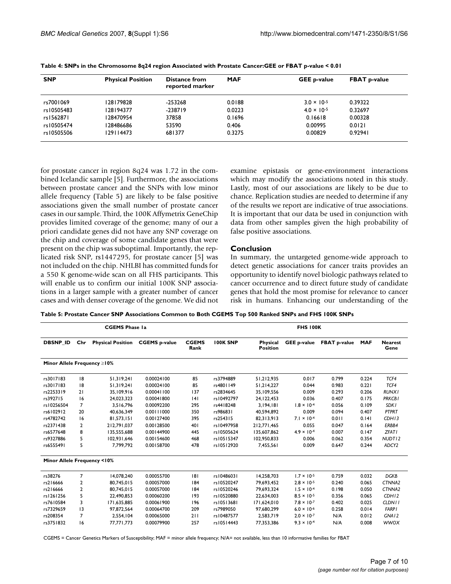| <b>SNP</b> | <b>Physical Position</b> | Distance from<br>reported marker | <b>MAF</b> | <b>GEE p-value</b>   | <b>FBAT</b> p-value |
|------------|--------------------------|----------------------------------|------------|----------------------|---------------------|
| rs7001069  | 128179828                | -253268                          | 0.0188     | $3.0 \times 10^{-5}$ | 0.39322             |
| rs10505483 | 128194377                | $-238719$                        | 0.0223     | $4.0 \times 10^{-5}$ | 0.32697             |
| rs1562871  | 128470954                | 37858                            | 0.1696     | 0.16618              | 0.00328             |
| rs10505474 | 128486686                | 53590                            | 0.406      | 0.00995              | 0.0121              |
| rs10505506 | 129114473                | 681377                           | 0.3275     | 0.00829              | 0.92941             |

|  | Table 4: SNPs in the Chromosome 8q24 region Associated with Prostate Cancer:GEE or FBAT p-value < 0.01 |  |  |  |
|--|--------------------------------------------------------------------------------------------------------|--|--|--|
|--|--------------------------------------------------------------------------------------------------------|--|--|--|

for prostate cancer in region 8q24 was 1.72 in the combined Icelandic sample [5]. Furthermore, the associations between prostate cancer and the SNPs with low minor allele frequency (Table 5) are likely to be false positive associations given the small number of prostate cancer cases in our sample. Third, the 100K Affymetrix GeneChip provides limited coverage of the genome; many of our a priori candidate genes did not have any SNP coverage on the chip and coverage of some candidate genes that were present on the chip was suboptimal. Importantly, the replicated risk SNP, rs1447295, for prostate cancer [5] was not included on the chip. NHLBI has committed funds for a 550 K genome-wide scan on all FHS participants. This will enable us to confirm our initial 100K SNP associations in a larger sample with a greater number of cancer cases and with denser coverage of the genome. We did not examine epistasis or gene-environment interactions which may modify the associations noted in this study. Lastly, most of our associations are likely to be due to chance. Replication studies are needed to determine if any of the results we report are indicative of true associations. It is important that our data be used in conjunction with data from other samples given the high probability of false positive associations.

#### **Conclusion**

In summary, the untargeted genome-wide approach to detect genetic associations for cancer traits provides an opportunity to identify novel biologic pathways related to cancer occurrence and to direct future study of candidate genes that hold the most promise for relevance to cancer risk in humans. Enhancing our understanding of the

**Table 5: Prostate Cancer SNP Associations Common to Both CGEMS Top 500 Ranked SNPs and FHS 100K SNPs**

| <b>CGEMS Phase Ia</b>                 |                |                          |                      |                      |                 | <b>FHS 100K</b>             |                      |                     |            |                        |
|---------------------------------------|----------------|--------------------------|----------------------|----------------------|-----------------|-----------------------------|----------------------|---------------------|------------|------------------------|
| <b>DBSNP_ID</b>                       | Chr            | <b>Physical Position</b> | <b>CGEMS</b> p-value | <b>CGEMS</b><br>Rank | <b>100K SNP</b> | Physical<br><b>Position</b> | <b>GEE p-value</b>   | <b>FBAT p-value</b> | <b>MAF</b> | <b>Nearest</b><br>Gene |
| Minor Allele Frequency ≥10%           |                |                          |                      |                      |                 |                             |                      |                     |            |                        |
| rs3017183                             | 8              | 51.319.241               | 0.00024100           | 85                   | rs3794889       | 51.212.935                  | 0.017                | 0.799               | 0.224      | TCF4                   |
| rs3017183                             | 18             | 51.319.241               | 0.00024100           | 85                   | rs4801149       | 51.214.227                  | 0.044                | 0.983               | 0.221      | TCF4                   |
| rs2253319                             | 21             | 35.109.916               | 0.00041100           | 137                  | rs2834645       | 35.109.556                  | 0.009                | 0.293               | 0.206      | <b>RUNX1</b>           |
| rs392715                              | 16             | 24.023.323               | 0.00041800           | 4                    | rs10492797      | 24.122.453                  | 0.036                | 0.407               | 0.175      | <b>PRKCBI</b>          |
| rs10256504                            | $\overline{7}$ | 3.516.796                | 0.00092200           | 295                  | rs4418248       | 3.194.181                   | $1.8 \times 10^{-4}$ | 0.056               | 0.109      | <b>SDKI</b>            |
| rs6102912                             | 20             | 40.636.349               | 0.00111000           | 350                  | rs986831        | 40.594.892                  | 0.009                | 0.094               | 0.407      | PTPRT                  |
| rs4782742                             | 16             | 81.573.151               | 0.00127400           | 395                  | rs254315        | 82.313.913                  | $7.1 \times 10^{-4}$ | 0.011               | 0.141      | CDH13                  |
| rs2371438                             | $\overline{2}$ | 212.791.037              | 0.00128500           | 401                  | rs10497958      | 212.771.465                 | 0.055                | 0.047               | 0.164      | ERBB4                  |
| rs6577648                             | 8              | 135.555.688              | 0.00144900           | 445                  | rs10505624      | 135.607.862                 | $4.9 \times 10^{-4}$ | 0.007               | 0.147      | <b>ZFATI</b>           |
| rs9327886                             | 5              | 102.931.646              | 0.00154600           | 468                  | rs10515347      | 102.950.833                 | 0.006                | 0.062               | 0.354      | NUDT <sub>12</sub>     |
| rs6555491                             | 5              | 7.799.792                | 0.00158700           | 478                  | rs10512920      | 7,455,561                   | 0.009                | 0.647               | 0.244      | ADCY <sub>2</sub>      |
| <b>Minor Allele Frequency &lt;10%</b> |                |                          |                      |                      |                 |                             |                      |                     |            |                        |
| rs38276                               | 7              | 14,078,240               | 0.00055700           | 8                    | rs10486031      | 14,258,703                  | $1.7 \times 10^{-5}$ | 0.759               | 0.032      | <b>DGKB</b>            |
| rs216666                              | $\overline{2}$ | 80.745.015               | 0.00057000           | 184                  | rs10520247      | 79.693.452                  | $2.8 \times 10^{-5}$ | 0.240               | 0.065      | CTNNA <sub>2</sub>     |
| rs216666                              | $\overline{2}$ | 80.745.015               | 0.00057000           | 184                  | rs10520246      | 79.693.324                  | $1.5 \times 10^{-4}$ | 0.198               | 0.050      | CTNNA <sub>2</sub>     |
| rs1261256                             | 5              | 22.490.853               | 0.00060200           | 193                  | rs10520880      | 22.634.003                  | $8.5 \times 10^{-5}$ | 0.356               | 0.065      | CDH12                  |
| rs7610584                             | 3              | 171.635.885              | 0.00061900           | 196                  | rs10513681      | 171.624.010                 | $7.8 \times 10^{-7}$ | 0.402               | 0.025      | <b>CLDN11</b>          |
| rs7329659                             | 13             | 97.872.564               | 0.00064700           | 209                  | rs7989050       | 97.680.299                  | $6.0 \times 10^{-6}$ | 0.258               | 0.014      | <b>FARP1</b>           |
| rs208354                              | $\overline{7}$ | 2,554,104                | 0.00065000           | 211                  | rs10487577      | 2.583.719                   | $2.0 \times 10^{-7}$ | N/A                 | 0.012      | GNA12                  |
| rs3751832                             | 16             | 77.771.773               | 0.00079900           | 257                  | rs10514443      | 77.353.386                  | $9.3 \times 10^{-4}$ | N/A                 | 0.008      | <b>WWOX</b>            |

CGEMS = Cancer Genetics Markers of Susceptibility; MAF = minor allele frequency; N/A= not available, less than 10 informative families for FBAT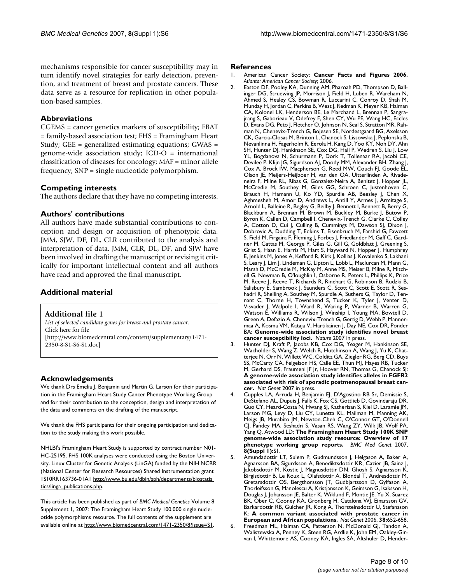mechanisms responsible for cancer susceptibility may in turn identify novel strategies for early detection, prevention, and treatment of breast and prostate cancers. These data serve as a resource for replication in other population-based samples.

#### **Abbreviations**

CGEMS = cancer genetics markers of susceptibility; FBAT = family-based association test; FHS = Framingham Heart Study; GEE = generalized estimating equations; GWAS = genome-wide association study; ICD-O = international classification of diseases for oncology; MAF = minor allele frequency; SNP = single nucleotide polymorphism.

#### **Competing interests**

The authors declare that they have no competing interests.

#### **Authors' contributions**

All authors have made substantial contributions to conception and design or acquisition of phenotypic data. JMM, SJW, DF, DL, CLR contributed to the analysis and interpretation of data. JMM, CLR, DL, DF, and SJW have been involved in drafting the manuscript or revising it critically for important intellectual content and all authors have read and approved the final manuscript.

#### **Additional material**

#### **Additional file 1**

*List of selected candidate genes for breast and prostate cancer.* Click here for file [\[http://www.biomedcentral.com/content/supplementary/1471-](http://www.biomedcentral.com/content/supplementary/1471-2350-8-S1-S6-S1.doc) 2350-8-S1-S6-S1.doc]

#### **Acknowledgements**

We thank Drs Emelia J. Benjamin and Martin G. Larson for their participation in the Framingham Heart Study Cancer Phenotype Working Group and for their contribution to the conception, design and interpretation of the data and comments on the drafting of the manuscript.

We thank the FHS participants for their ongoing participation and dedication to the study making this work possible.

NHLBI's Framingham Heart Study is supported by contract number N01- HC-25195. FHS 100K analyses were conducted using the Boston University. Linux Cluster for Genetic Analysis (LinGA) funded by the NIH NCRR (National Center for Research Resources) Shared Instrumentation grant 1S10RR163736-01A1 [http://www.bu.edu/dbin/sph/departments/biostatis](http://www.bu.edu/dbin/sph/departments/biostatistics/linga_publications.php)  [tics/linga\\_publications.php.](http://www.bu.edu/dbin/sph/departments/biostatistics/linga_publications.php)

This article has been published as part of *BMC Medical Genetics* Volume 8 Supplement 1, 2007: The Framingham Heart Study 100,000 single nucleotide polymorphisms resource. The full contents of the supplement are available online at<http://www.biomedcentral.com/1471-2350/8?issue=S1>.

#### **References**

- 1. American Cancer Society: **Cancer Facts and Figures 2006.** *Atlanta: American Cancer Society*; 2006.
	- Easton DF, Pooley KA, Dunning AM, Pharoah PD, Thompson D, Ballinger DG, Struewing JP, Morrison J, Field H, Luben R, Wareham N, Ahmed S, Healey CS, Bowman R, Luccarini C, Conroy D, Shah M, Munday H, Jordan C, Perkins B, West J, Redman K, Meyer KB, Haiman CA, Kolonel LK, Henderson BE, Le Marchand L, Brennan P, Sangrajrang S, Gaborieau V, Odefrey F, Shen CY, Wu PE, Wang HC, Eccles D, Evans DG, Peto J, Fletcher O, Johnson N, Seal S, Stratton MR, Rahman N, Chenevix-Trench G, Bojesen SE, Nordestgaard BG, Axelsson CK, Garcia-Closas M, Brinton L, Chanock S, Lissowska J, Peplonska B, Nevanlinna H, Fagerholm R, Eerola H, Kang D, Yoo KY, Noh DY, Ahn SH, Hunter DJ, Hankinson SE, Cox DG, Hall P, Wedren S, Liu J, Low YL, Bogdanova N, Schurmann P, Dork T, Tollenaar RA, Jacobi CE, Devilee P, Klijn JG, Sigurdson AJ, Doody MM, Alexander BH, Zhang J, Cox A, Brock IW, Macpherson G, Reed MW, Couch FJ, Goode EL, Olson JE, Meijers-Heijboer H, van den OA, Uitterlinden A, Rivadeneira F, Milne RL, Ribas G, Gonzalez-Neira A, Benitez J, Hopper JL, McCredie M, Southey M, Giles GG, Schroen C, Justenhoven C, Brauch H, Hamann U, Ko YD, Spurdle AB, Beesley J, Chen X, Aghmesheh M, Amor D, Andrews L, Antill Y, Armes J, Armitage S, Arnold L, Balleine R, Begley G, Beilby J, Bennett I, Bennett B, Berry G, Blackburn A, Brennan M, Brown M, Buckley M, Burke J, Butow P, Byron K, Callen D, Campbell I, Chenevix-Trench G, Clarke C, Colley A, Cotton D, Cui J, Culling B, Cummings M, Dawson SJ, Dixon J, Dobrovic A, Dudding T, Edkins T, Eisenbruch M, Farshid G, Fawcett S, Field M, Firgaira F, Fleming J, Forbes J, Friedlander M, Gaff C, Gardner M, Gattas M, George P, Giles G, Gill G, Goldblatt J, Greening S, Grist S, Haan E, Harris M, Hart S, Hayward N, Hopper J, Humphrey E, Jenkins M, Jones A, Kefford R, Kirk J, Kollias J, Kovalenko S, Lakhani S, Leary J, Lim J, Lindeman G, Lipton L, Lobb L, Maclurcan M, Mann G, Marsh D, McCredie M, McKay M, Anne MS, Meiser B, Milne R, Mitchell G, Newman B, O'loughlin I, Osborne R, Peters L, Phillips K, Price M, Reeve J, Reeve T, Richards R, Rinehart G, Robinson B, Rudzki B, Salisbury E, Sambrook J, Saunders C, Scott C, Scott E, Scott R, Seshadri R, Shelling A, Southey M, Spurdle A, Suthers G, Taylor D, Tennant C, Thorne H, Townshend S, Tucker K, Tyler J, Venter D, Visvader J, Walpole I, Ward R, Waring P, Warner B, Warren G, Watson E, Williams R, Wilson J, Winship I, Young MA, Bowtell D, Green A, Defazio A, Chenevix-Trench G, Gertig D, Webb P, Mannermaa A, Kosma VM, Kataja V, Hartikainen J, Day NE, Cox DR, Ponder BA: **Genome-wide association study identifies novel breast cancer susceptibility loci.** *Nature* 2007 in press.
- 3. Hunter DJ, Kraft P, Jacobs KB, Cox DG, Yeager M, Hankinson SE, Wacholder S, Wang Z, Welch R, Hutchinson A, Wang J, Yu K, Chatterjee N, Orr N, Willett WC, Colditz GA, Ziegler RG, Berg CD, Buys SS, McCarty CA, Feigelson HS, Calle EE, Thun MJ, Hayes RB, Tucker M, Gerhard DS, Fraumeni JF Jr, Hoover RN, Thomas G, Chanock SJ: **A genome-wide association study identifies alleles in FGFR2 associated with risk of sporadic postmenopausal breast cancer.** *Nat Genet* 2007 in press.
- 4. Cupples LA, Arruda H, Benjamin EJ, D'Agostino RB Sr, Demissie S, DeStefano AL, Dupuis J, Falls K, Fox CS, Gottlieb D, Govindaraju DR, Guo CY, Heard-Costa N, Hwang SJ, Katherisan S, Kiel D, Laramie JM, Larson MG, Levy D, Liu CY, Lunetta KL, Mailman M, Manning AK, Meigs JB, Murabito JM, Newton-Cheh C, O'Connor GT, O'Donnell CJ, Pandey MA, Seshadri S, Vasan RS, Wang ZY, Wilk JB, Wolf PA, Yang Q, Atwood LD: **The Framingham Heart Study 100K SNP genome-wide association study resource: Overview of 17 phenotype working group reports.** *BMC Med Genet* 2007, **8(Suppl 1):**S1.
- 5. Amundadottir LT, Sulem P, Gudmundsson J, Helgason A, Baker A, Agnarsson BA, Sigurdsson A, Benediktsdottir KR, Cazier JB, Sainz J, Jakobsdottir M, Kostic J, Magnusdottir DN, Ghosh S, Agnarsson K, Birgisdottir B, Le Roux L, Olafsdottir A, Blondal T, Andresdottir M, Gretarsdottir OS, Bergthorsson JT, Gudbjartsson D, Gylfason A, Thorleifsson G, Manolescu A, Kristjansson K, Geirsson G, Isaksson H, Douglas J, Johansson JE, Balter K, Wiklund F, Montie JE, Yu X, Suarez BK, Ober C, Cooney KA, Gronberg H, Catalona WJ, Einarsson GV, Barkardottir RB, Gulcher JR, Kong A, Thorsteinsdottir U, Stefansson K: **[A common variant associated with prostate cancer in](http://www.ncbi.nlm.nih.gov/entrez/query.fcgi?cmd=Retrieve&db=PubMed&dopt=Abstract&list_uids=16682969) [European and African populations.](http://www.ncbi.nlm.nih.gov/entrez/query.fcgi?cmd=Retrieve&db=PubMed&dopt=Abstract&list_uids=16682969)** *Nat Genet* 2006, **38:**652-658.
- 6. Freedman ML, Haiman CA, Patterson N, McDonald GJ, Tandon A, Waliszewska A, Penney K, Steen RG, Ardlie K, John EM, Oakley-Girvan I, Whittemore AS, Cooney KA, Ingles SA, Altshuler D, Hender-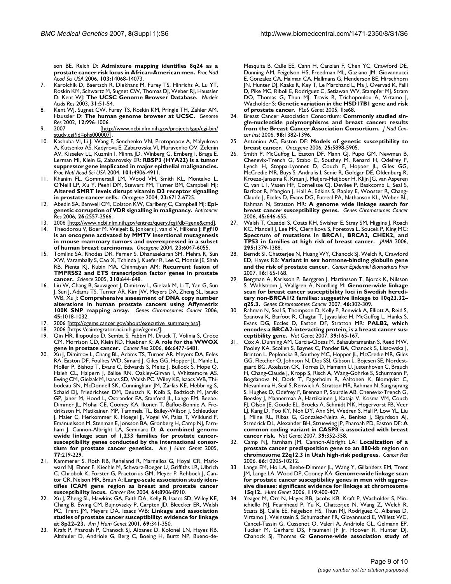son BE, Reich D: **[Admixture mapping identifies 8q24 as a](http://www.ncbi.nlm.nih.gov/entrez/query.fcgi?cmd=Retrieve&db=PubMed&dopt=Abstract&list_uids=16945910) [prostate cancer risk locus in African-American men.](http://www.ncbi.nlm.nih.gov/entrez/query.fcgi?cmd=Retrieve&db=PubMed&dopt=Abstract&list_uids=16945910)** *Proc Natl Acad Sci USA* 2006, **103:**14068-14073.

- 7. Karolchik D, Baertsch R, Diekhans M, Furey TS, Hinrichs A, Lu YT, Roskin KM, Schwartz M, Sugnet CW, Thomas DJ, Weber RJ, Haussler D, Kent WJ: **[The UCSC Genome Browser Database.](http://www.ncbi.nlm.nih.gov/entrez/query.fcgi?cmd=Retrieve&db=PubMed&dopt=Abstract&list_uids=12519945)** *Nucleic Acids Res* 2003, **31:**51-54.
- Kent WJ, Sugnet CW, Furey TS, Roskin KM, Pringle TH, Zahler AM, Haussler D: **[The human genome browser at UCSC.](http://www.ncbi.nlm.nih.gov/entrez/query.fcgi?cmd=Retrieve&db=PubMed&dopt=Abstract&list_uids=12045153)** *Genome Res* 2002, **12:**996-1006.
- 9. 2007 [[http://www.ncbi.nlm.nih.gov/projects/gap/cgi-bin/](http://www.ncbi.nlm.nih.gov/projects/gap/cgi-bin/study.cgi?id=phs000007) [study.cgi?id=phs000007](http://www.ncbi.nlm.nih.gov/projects/gap/cgi-bin/study.cgi?id=phs000007)].
- 10. Kashuba VI, Li J, Wang F, Senchenko VN, Protopopov A, Malyukova A, Kutsenko AS, Kadyrova E, Zabarovska VI, Muravenko OV, Zelenin AV, Kisselev LL, Kuzmin I, Minna JD, Winberg G, Ernberg I, Braga E, Lerman MI, Klein G, Zabarovsky ER: **[RBSP3 \(HYA22\) is a tumor](http://www.ncbi.nlm.nih.gov/entrez/query.fcgi?cmd=Retrieve&db=PubMed&dopt=Abstract&list_uids=15051889) [suppressor gene implicated in major epithelial malignancies.](http://www.ncbi.nlm.nih.gov/entrez/query.fcgi?cmd=Retrieve&db=PubMed&dopt=Abstract&list_uids=15051889)** *Proc Natl Acad Sci USA* 2004, **101:**4906-4911.
- 11. Khanim FL, Gommersall LM, Wood VH, Smith KL, Montalvo L, O'Neill LP, Xu Y, Peehl DM, Stewart PM, Turner BM, Campbell MJ: **[Altered SMRT levels disrupt vitamin D3 receptor signalling](http://www.ncbi.nlm.nih.gov/entrez/query.fcgi?cmd=Retrieve&db=PubMed&dopt=Abstract&list_uids=15300237) [in prostate cancer cells.](http://www.ncbi.nlm.nih.gov/entrez/query.fcgi?cmd=Retrieve&db=PubMed&dopt=Abstract&list_uids=15300237)** *Oncogene* 2004, **23:**6712-6725.
- 12. Abedin SA, Banwell CM, Colston KW, Carlberg C, Campbell MJ: **[Epi](http://www.ncbi.nlm.nih.gov/entrez/query.fcgi?cmd=Retrieve&db=PubMed&dopt=Abstract&list_uids=16886664)[genetic corruption of VDR signalling in malignancy.](http://www.ncbi.nlm.nih.gov/entrez/query.fcgi?cmd=Retrieve&db=PubMed&dopt=Abstract&list_uids=16886664)** *Anticancer Res* 2006, **26:**2557-2566.
- 13. 2006 [<http://www.ncbi.nlm.nih.gov/entrez/query.fcgi?db=gene&cmd>].
- Theodorou V, Boer M, Weigelt B, Jonkers J, van d V, Hilkens J: [Fgf10](http://www.ncbi.nlm.nih.gov/entrez/query.fcgi?cmd=Retrieve&db=PubMed&dopt=Abstract&list_uids=15208658) **[is an oncogene activated by MMTV insertional mutagenesis](http://www.ncbi.nlm.nih.gov/entrez/query.fcgi?cmd=Retrieve&db=PubMed&dopt=Abstract&list_uids=15208658) in mouse mammary tumors and overexpressed in a subset [of human breast carcinomas.](http://www.ncbi.nlm.nih.gov/entrez/query.fcgi?cmd=Retrieve&db=PubMed&dopt=Abstract&list_uids=15208658)** *Oncogene* 2004, **23:**6047-6055.
- Tomlins SA, Rhodes DR, Perner S, Dhanasekaran SM, Mehra R, Sun XW, Varambally S, Cao X, Tchinda J, Kuefer R, Lee C, Montie JE, Shah RB, Pienta KJ, Rubin MA, Chinnaiyan AM: **[Recurrent fusion of](http://www.ncbi.nlm.nih.gov/entrez/query.fcgi?cmd=Retrieve&db=PubMed&dopt=Abstract&list_uids=16254181) [TMPRSS2 and ETS transcription factor genes in prostate](http://www.ncbi.nlm.nih.gov/entrez/query.fcgi?cmd=Retrieve&db=PubMed&dopt=Abstract&list_uids=16254181) [cancer.](http://www.ncbi.nlm.nih.gov/entrez/query.fcgi?cmd=Retrieve&db=PubMed&dopt=Abstract&list_uids=16254181)** *Science* 2005, **310:**644-648.
- 16. Liu W, Chang B, Sauvageot J, Dimitrov L, Gielzak M, Li T, Yan G, Sun , Sun J, Adams TS, Turner AR, Kim JW, Meyers DA, Zheng SL, Isaacs WB, Xu J: **[Comprehensive assessment of DNA copy number](http://www.ncbi.nlm.nih.gov/entrez/query.fcgi?cmd=Retrieve&db=PubMed&dopt=Abstract&list_uids=16897747) [alterations in human prostate cancers using Affymetrix](http://www.ncbi.nlm.nih.gov/entrez/query.fcgi?cmd=Retrieve&db=PubMed&dopt=Abstract&list_uids=16897747) [100K SNP mapping array.](http://www.ncbi.nlm.nih.gov/entrez/query.fcgi?cmd=Retrieve&db=PubMed&dopt=Abstract&list_uids=16897747)** *Genes Chromosomes Cancer* 2006, **45:**1018-1032.
- 17. 2006 [\[http://cgems.cancer.gov/about/executive\\_summary.asp](http://cgems.cancer.gov/about/executive_summary.asp)].
- 18. 2006 [<https://caintegrator.nci.nih.gov/cgems/>].<br>19. Oin HR. Ilionoulos D. Semba S. Fabbri M. D.
- Qin HR, Iliopoulos D, Semba S, Fabbri M, Druck T, Volinia S, Croce CM, Morrison CD, Klein RD, Huebner K: **[A role for the WWOX](http://www.ncbi.nlm.nih.gov/entrez/query.fcgi?cmd=Retrieve&db=PubMed&dopt=Abstract&list_uids=16818616) [gene in prostate cancer.](http://www.ncbi.nlm.nih.gov/entrez/query.fcgi?cmd=Retrieve&db=PubMed&dopt=Abstract&list_uids=16818616)** *Cancer Res* 2006, **66:**6477-6481.
- 20. Xu J, Dimitrov L, Chang BL, Adams TS, Turner AR, Meyers DA, Eeles RA, Easton DF, Foulkes WD, Simard J, Giles GG, Hopper JL, Mahle L, Moller P, Bishop T, Evans C, Edwards S, Meitz J, Bullock S, Hope Q, Hsieh CL, Halpern J, Balise RN, Oakley-Girvan I, Whittemore AS, Ewing CM, Gielzak M, Isaacs SD, Walsh PC, Wiley KE, Isaacs WB, Thibodeau SN, McDonnell SK, Cunningham JM, Zarfas KE, Hebbring S, Schaid DJ, Friedrichsen DM, Deutsch K, Kolb S, Badzioch M, Jarvik GP, Janer M, Hood L, Ostrander EA, Stanford JL, Lange EM, Beebe-Dimmer JL, Mohai CE, Cooney KA, Ikonen T, Baffoe-Bonnie A, Fredriksson H, Matikainen MP, Tammela TL, Bailey-Wilson J, Schleutker J, Maier C, Herkommer K, Hoegel JJ, Vogel W, Paiss T, Wiklund F, Emanuelsson M, Stenman E, Jonsson BA, Gronberg H, Camp NJ, Farnham J, Cannon-Albright LA, Seminara D: **[A combined genom](http://www.ncbi.nlm.nih.gov/entrez/query.fcgi?cmd=Retrieve&db=PubMed&dopt=Abstract&list_uids=15988677)[ewide linkage scan of 1,233 families for prostate cancer](http://www.ncbi.nlm.nih.gov/entrez/query.fcgi?cmd=Retrieve&db=PubMed&dopt=Abstract&list_uids=15988677)susceptibility genes conducted by the international consor[tium for prostate cancer genetics.](http://www.ncbi.nlm.nih.gov/entrez/query.fcgi?cmd=Retrieve&db=PubMed&dopt=Abstract&list_uids=15988677)** *Am J Hum Genet* 2005, **77:**219-229.
- 21. Kammerer S, Roth RB, Reneland R, Marnellos G, Hoyal CR, Markward NJ, Ebner F, Kiechle M, Schwarz-Boeger U, Griffiths LR, Ulbrich C, Chrobok K, Forster G, Praetorius GM, Meyer P, Rehbock J, Cantor CR, Nelson MR, Braun A: **[Large-scale association study iden](http://www.ncbi.nlm.nih.gov/entrez/query.fcgi?cmd=Retrieve&db=PubMed&dopt=Abstract&list_uids=15604251)[tifies ICAM gene region as breast and prostate cancer](http://www.ncbi.nlm.nih.gov/entrez/query.fcgi?cmd=Retrieve&db=PubMed&dopt=Abstract&list_uids=15604251) [susceptibility locus.](http://www.ncbi.nlm.nih.gov/entrez/query.fcgi?cmd=Retrieve&db=PubMed&dopt=Abstract&list_uids=15604251)** *Cancer Res* 2004, **64:**8906-8910.
- 22. Xu J, Zheng SL, Hawkins GA, Faith DA, Kelly B, Isaacs SD, Wiley KE, Chang B, Ewing CM, Bujnovszky P, Carpten JD, Bleecker ER, Walsh PC, Trent JM, Meyers DA, Isaacs WB: **[Linkage and association](http://www.ncbi.nlm.nih.gov/entrez/query.fcgi?cmd=Retrieve&db=PubMed&dopt=Abstract&list_uids=11443539) [studies of prostate cancer susceptibility: evidence for linkage](http://www.ncbi.nlm.nih.gov/entrez/query.fcgi?cmd=Retrieve&db=PubMed&dopt=Abstract&list_uids=11443539) [at 8p22–23.](http://www.ncbi.nlm.nih.gov/entrez/query.fcgi?cmd=Retrieve&db=PubMed&dopt=Abstract&list_uids=11443539)** *Am J Hum Genet* 2001, **69:**341-350.
- 23. Kraft P, Pharoah P, Chanock SJ, Albanes D, Kolonel LN, Hayes RB, Altshuler D, Andriole G, Berg C, Boeing H, Burtt NP, Bueno-de-

Mesquita B, Calle EE, Cann H, Canzian F, Chen YC, Crawford DE, Dunning AM, Feigelson HS, Freedman ML, Gaziano JM, Giovannucci E, Gonzalez CA, Haiman CA, Hallmans G, Henderson BE, Hirschhorn JN, Hunter DJ, Kaaks R, Key T, Le Marchand L, Ma J, Overvad K, Palli D, Pike MC, Riboli E, Rodriguez C, Setiawan WV, Stampfer MJ, Stram DO, Thomas G, Thun MJ, Travis R, Trichopoulou A, Virtamo J, Wacholder S: **[Genetic variation in the HSD17B1 gene and risk](http://www.ncbi.nlm.nih.gov/entrez/query.fcgi?cmd=Retrieve&db=PubMed&dopt=Abstract&list_uids=16311626) [of prostate cancer.](http://www.ncbi.nlm.nih.gov/entrez/query.fcgi?cmd=Retrieve&db=PubMed&dopt=Abstract&list_uids=16311626)** *PLoS Genet* 2005, **1:**e68.

- 24. Breast Cancer Association Consortium: **[Commonly studied sin](http://www.ncbi.nlm.nih.gov/entrez/query.fcgi?cmd=Retrieve&db=PubMed&dopt=Abstract&list_uids=17018785)[gle-nucleotide polymorphisms and breast cancer: results](http://www.ncbi.nlm.nih.gov/entrez/query.fcgi?cmd=Retrieve&db=PubMed&dopt=Abstract&list_uids=17018785) [from the Breast Cancer Association Consortium.](http://www.ncbi.nlm.nih.gov/entrez/query.fcgi?cmd=Retrieve&db=PubMed&dopt=Abstract&list_uids=17018785)** *J Natl Cancer Inst* 2006, **98:**1382-1396.
- 25. Antoniou AC, Easton DF: **[Models of genetic susceptibility to](http://www.ncbi.nlm.nih.gov/entrez/query.fcgi?cmd=Retrieve&db=PubMed&dopt=Abstract&list_uids=16998504) [breast cancer.](http://www.ncbi.nlm.nih.gov/entrez/query.fcgi?cmd=Retrieve&db=PubMed&dopt=Abstract&list_uids=16998504)** *Oncogene* 2006, **25:**5898-5905.
- 26. Smith P, McGuffog L, Easton DF, Mann GJ, Pupo GM, Newman B, Chenevix-Trench G, Szabo C, Southey M, Renard H, Odefrey F, Lynch H, Stoppa-Lyonnet D, Couch F, Hopper JL, Giles GG, McCredie MR, Buys S, Andrulis I, Senie R, Goldgar DE, Oldenburg R, Kroeze-Jansema K, Kraan J, Meijers-Heijboer H, Klijn JG, van Asperen C, van L I, Vasen HF, Cornelisse CJ, Devilee P, Baskcomb L, Seal S, Barfoot R, Mangion J, Hall A, Edkins S, Rapley E, Wooster R, Chang-Claude J, Eccles D, Evans DG, Futreal PA, Nathanson KL, Weber BL, Rahman N, Stratton MR: **[A genome wide linkage search for](http://www.ncbi.nlm.nih.gov/entrez/query.fcgi?cmd=Retrieve&db=PubMed&dopt=Abstract&list_uids=16575876) [breast cancer susceptibility genes.](http://www.ncbi.nlm.nih.gov/entrez/query.fcgi?cmd=Retrieve&db=PubMed&dopt=Abstract&list_uids=16575876)** *Genes Chromosomes Cancer* 2006, **45:**646-655.
- 27. Walsh T, Casadei S, Coats KH, Swisher E, Stray SM, Higgins J, Roach KC, Mandell J, Lee MK, Ciernikova S, Foretova L, Soucek P, King MC: **[Spectrum of mutations in BRCA1, BRCA2, CHEK2, and](http://www.ncbi.nlm.nih.gov/entrez/query.fcgi?cmd=Retrieve&db=PubMed&dopt=Abstract&list_uids=16551709) [TP53 in families at high risk of breast cancer.](http://www.ncbi.nlm.nih.gov/entrez/query.fcgi?cmd=Retrieve&db=PubMed&dopt=Abstract&list_uids=16551709)** *JAMA* 2006, **295:**1379-1388.
- Berndt SI, Chatterjee N, Huang WY, Chanock SJ, Welch R, Crawford ED, Hayes RB: **[Variant in sex hormone-binding globulin gene](http://www.ncbi.nlm.nih.gov/entrez/query.fcgi?cmd=Retrieve&db=PubMed&dopt=Abstract&list_uids=17220347) [and the risk of prostate cancer.](http://www.ncbi.nlm.nih.gov/entrez/query.fcgi?cmd=Retrieve&db=PubMed&dopt=Abstract&list_uids=17220347)** *Cancer Epidemiol Biomarkers Prev* 2007, **16:**165-168.
- 29. Bergman A, Karlsson P, Berggren J, Martinsson T, Bjorck K, Nilsson S, Wahlstrom J, Wallgren A, Nordling M: **[Genome-wide linkage](http://www.ncbi.nlm.nih.gov/entrez/query.fcgi?cmd=Retrieve&db=PubMed&dopt=Abstract&list_uids=17171685) [scan for breast cancer susceptibility loci in Swedish heredi](http://www.ncbi.nlm.nih.gov/entrez/query.fcgi?cmd=Retrieve&db=PubMed&dopt=Abstract&list_uids=17171685)tary non-BRCA1/2 families: suggestive linkage to 10q23.32– [q25.3.](http://www.ncbi.nlm.nih.gov/entrez/query.fcgi?cmd=Retrieve&db=PubMed&dopt=Abstract&list_uids=17171685)** *Genes Chromosomes Cancer* 2007, **46:**302-309.
- 30. Rahman N, Seal S, Thompson D, Kelly P, Renwick A, Elliott A, Reid S, Spanova K, Barfoot R, Chagtai T, Jayatilake H, McGuffog L, Hanks S, Evans DG, Eccles D, Easton DF, Stratton MR: **[PALB2, which](http://www.ncbi.nlm.nih.gov/entrez/query.fcgi?cmd=Retrieve&db=PubMed&dopt=Abstract&list_uids=17200668) [encodes a BRCA2-interacting protein, is a breast cancer sus](http://www.ncbi.nlm.nih.gov/entrez/query.fcgi?cmd=Retrieve&db=PubMed&dopt=Abstract&list_uids=17200668)[ceptibility gene.](http://www.ncbi.nlm.nih.gov/entrez/query.fcgi?cmd=Retrieve&db=PubMed&dopt=Abstract&list_uids=17200668)** *Nat Genet* 2007, **39:**165-167.
- 31. Cox A, Dunning AM, Garcia-Closas M, Balasubramanian S, Reed MW, Pooley KA, Scollen S, Baynes C, Ponder BA, Chanock S, Lissowska J, Brinton L, Peplonska B, Southey MC, Hopper JL, McCredie MR, Giles GG, Fletcher O, Johnson N, Dos SSI, Gibson L, Bojesen SE, Nordestgaard BG, Axelsson CK, Torres D, Hamann U, Justenhoven C, Brauch H, Chang-Claude J, Kropp S, Risch A, Wang-Gohrke S, Schurmann P, Bogdanova N, Dork T, Fagerholm R, Aaltonen K, Blomqvist C, Nevanlinna H, Seal S, Renwick A, Stratton MR, Rahman N, Sangrajrang S, Hughes D, Odefrey F, Brennan P, Spurdle AB, Chenevix-Trench G, Beesley J, Mannermaa A, Hartikainen J, Kataja V, Kosma VM, Couch FJ, Olson JE, Goode EL, Broeks A, Schmidt MK, Hogervorst FB, Veer LJ, Kang D, Yoo KY, Noh DY, Ahn SH, Wedren S, Hall P, Low YL, Liu J, Milne RL, Ribas G, Gonzalez-Neira A, Benitez J, Sigurdson AJ, Stredrick DL, Alexander BH, Struewing JP, Pharoah PD, Easton DF: **[A](http://www.ncbi.nlm.nih.gov/entrez/query.fcgi?cmd=Retrieve&db=PubMed&dopt=Abstract&list_uids=17293864) [common coding variant in CASP8 is associated with breast](http://www.ncbi.nlm.nih.gov/entrez/query.fcgi?cmd=Retrieve&db=PubMed&dopt=Abstract&list_uids=17293864) [cancer risk.](http://www.ncbi.nlm.nih.gov/entrez/query.fcgi?cmd=Retrieve&db=PubMed&dopt=Abstract&list_uids=17293864)** *Nat Genet* 2007, **39:**352-358.
- 32. Camp NJ, Farnham JM, Cannon-Albright LA: **[Localization of a](http://www.ncbi.nlm.nih.gov/entrez/query.fcgi?cmd=Retrieve&db=PubMed&dopt=Abstract&list_uids=17047086) [prostate cancer predisposition gene to an 880-kb region on](http://www.ncbi.nlm.nih.gov/entrez/query.fcgi?cmd=Retrieve&db=PubMed&dopt=Abstract&list_uids=17047086) [chromosome 22q12.3 in Utah high-risk pedigrees.](http://www.ncbi.nlm.nih.gov/entrez/query.fcgi?cmd=Retrieve&db=PubMed&dopt=Abstract&list_uids=17047086)** *Cancer Res* 2006, **66:**10205-10212.
- 33. Lange EM, Ho LA, Beebe-Dimmer JL, Wang Y, Gillanders EM, Trent JM, Lange LA, Wood DP, Cooney KA: **[Genome-wide linkage scan](http://www.ncbi.nlm.nih.gov/entrez/query.fcgi?cmd=Retrieve&db=PubMed&dopt=Abstract&list_uids=16508751) [for prostate cancer susceptibility genes in men with aggres](http://www.ncbi.nlm.nih.gov/entrez/query.fcgi?cmd=Retrieve&db=PubMed&dopt=Abstract&list_uids=16508751)sive disease: significant evidence for linkage at chromosome [15q12.](http://www.ncbi.nlm.nih.gov/entrez/query.fcgi?cmd=Retrieve&db=PubMed&dopt=Abstract&list_uids=16508751)** *Hum Genet* 2006, **119:**400-407.
- 34. Yeager M, Orr N, Hayes RB, Jacobs KB, Kraft P, Wacholder S, Minichiello MJ, Fearnhead P, Yu K, Chatterjee N, Wang Z, Welch R, Staats BJ, Calle EE, Feigelson HS, Thun MJ, Rodriguez C, Albanes D, Virtamo J, Weinstein S, Schumacher FR, Giovannucci E, Willett WC, Cancel-Tassin G, Cussenot O, Valeri A, Andriole GL, Gelmann EP, Tucker M, Gerhard DS, Fraumeni JF Jr, Hoover R, Hunter DJ, Chanock SJ, Thomas G: **[Genome-wide association study of](http://www.ncbi.nlm.nih.gov/entrez/query.fcgi?cmd=Retrieve&db=PubMed&dopt=Abstract&list_uids=17401363)**